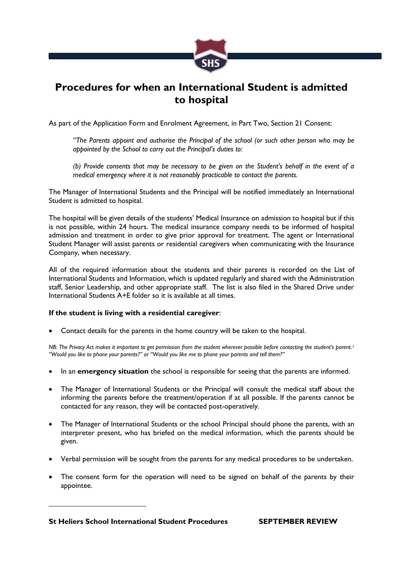

## **Procedures for when an International Student is admitted to hospital**

As part of the Application Form and Enrolment Agreement, in Part Two, Section 21 Consent:

*"The Parents appoint and authorise the Principal of the school (or such other person who may be appointed by the School to carry out the Principal's duties to:*

*(b) Provide consents that may be necessary to be given on the Student's behalf in the event of a medical emergency where it is not reasonably practicable to contact the parents.*

The Manager of International Students and the Principal will be notified immediately an International Student is admitted to hospital.

The hospital will be given details of the students' Medical Insurance on admission to hospital but if this is not possible, within 24 hours. The medical insurance company needs to be informed of hospital admission and treatment in order to give prior approval for treatment. The agent or International Student Manager will assist parents or residential caregivers when communicating with the Insurance Company, when necessary.

All of the required information about the students and their parents is recorded on the List of International Students and Information, which is updated regularly and shared with the Administration staff, Senior Leadership, and other appropriate staff. The list is also filed in the Shared Drive under International Students A+E folder so it is available at all times.

## **If the student is living with a residential caregiver**:

Contact details for the parents in the home country will be taken to the hospital.

*NB: The Privacy Act makes it important to get permission from the student wherever possible before contacting the student's parent.<sup>1</sup> "Would you like to phone your parents?" or "Would you like me to phone your parents and tell them?"* 

- In an **emergency situation** the school is responsible for seeing that the parents are informed.
- The Manager of International Students or the Principal will consult the medical staff about the informing the parents before the treatment/operation if at all possible. If the parents cannot be contacted for any reason, they will be contacted post-operatively.
- The Manager of International Students or the school Principal should phone the parents, with an interpreter present, who has briefed on the medical information, which the parents should be given.
- Verbal permission will be sought from the parents for any medical procedures to be undertaken.
- The consent form for the operation will need to be signed on behalf of the parents by their appointee.

**St Heliers School International Student Procedures SEPTEMBER REVIEW**

1